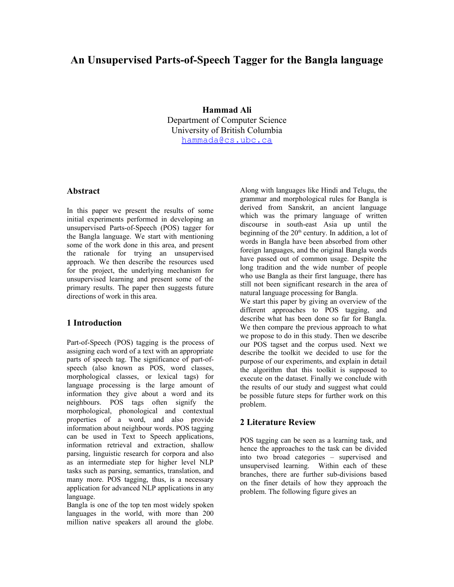# **An Unsupervised Parts-of-Speech Tagger for the Bangla language**

**Hammad Ali** Department of Computer Science University of British Columbia [hammada@cs.ubc.ca](mailto:hammada@cs.ubc.ca)

## **Abstract**

In this paper we present the results of some initial experiments performed in developing an unsupervised Parts-of-Speech (POS) tagger for the Bangla language. We start with mentioning some of the work done in this area, and present the rationale for trying an unsupervised approach. We then describe the resources used for the project, the underlying mechanism for unsupervised learning and present some of the primary results. The paper then suggests future directions of work in this area.

#### **1 Introduction**

Part-of-Speech (POS) tagging is the process of assigning each word of a text with an appropriate parts of speech tag. The significance of part-ofspeech (also known as POS, word classes, morphological classes, or lexical tags) for language processing is the large amount of information they give about a word and its neighbours. POS tags often signify the morphological, phonological and contextual properties of a word, and also provide information about neighbour words. POS tagging can be used in Text to Speech applications, information retrieval and extraction, shallow parsing, linguistic research for corpora and also as an intermediate step for higher level NLP tasks such as parsing, semantics, translation, and many more. POS tagging, thus, is a necessary application for advanced NLP applications in any language.

Bangla is one of the top ten most widely spoken languages in the world, with more than 200 million native speakers all around the globe.

Along with languages like Hindi and Telugu, the grammar and morphological rules for Bangla is derived from Sanskrit, an ancient language which was the primary language of written discourse in south-east Asia up until the beginning of the  $20<sup>th</sup>$  century. In addition, a lot of words in Bangla have been absorbed from other foreign languages, and the original Bangla words have passed out of common usage. Despite the long tradition and the wide number of people who use Bangla as their first language, there has still not been significant research in the area of natural language processing for Bangla.

We start this paper by giving an overview of the different approaches to POS tagging, and describe what has been done so far for Bangla. We then compare the previous approach to what we propose to do in this study. Then we describe our POS tagset and the corpus used. Next we describe the toolkit we decided to use for the purpose of our experiments, and explain in detail the algorithm that this toolkit is supposed to execute on the dataset. Finally we conclude with the results of our study and suggest what could be possible future steps for further work on this problem.

### **2 Literature Review**

POS tagging can be seen as a learning task, and hence the approaches to the task can be divided into two broad categories – supervised and unsupervised learning. Within each of these branches, there are further sub-divisions based on the finer details of how they approach the problem. The following figure gives an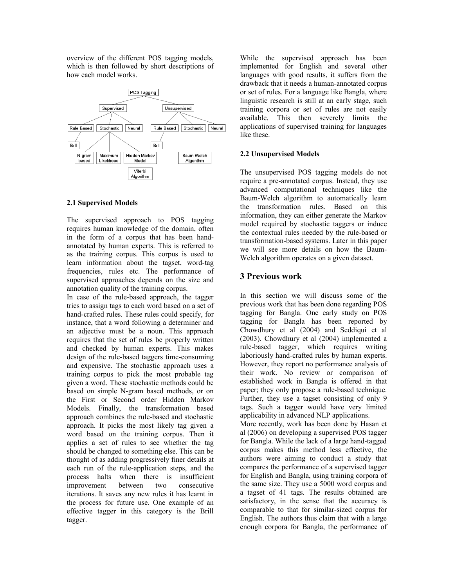overview of the different POS tagging models, which is then followed by short descriptions of how each model works.



#### **2.1 Supervised Models**

The supervised approach to POS tagging requires human knowledge of the domain, often in the form of a corpus that has been handannotated by human experts. This is referred to as the training corpus. This corpus is used to learn information about the tagset, word-tag frequencies, rules etc. The performance of supervised approaches depends on the size and annotation quality of the training corpus.

In case of the rule-based approach, the tagger tries to assign tags to each word based on a set of hand-crafted rules. These rules could specify, for instance, that a word following a determiner and an adjective must be a noun. This approach requires that the set of rules be properly written and checked by human experts. This makes design of the rule-based taggers time-consuming and expensive. The stochastic approach uses a training corpus to pick the most probable tag given a word. These stochastic methods could be based on simple N-gram based methods, or on the First or Second order Hidden Markov Models. Finally, the transformation based approach combines the rule-based and stochastic approach. It picks the most likely tag given a word based on the training corpus. Then it applies a set of rules to see whether the tag should be changed to something else. This can be thought of as adding progressively finer details at each run of the rule-application steps, and the process halts when there is insufficient improvement between two consecutive iterations. It saves any new rules it has learnt in the process for future use. One example of an effective tagger in this category is the Brill tagger.

While the supervised approach has been implemented for English and several other languages with good results, it suffers from the drawback that it needs a human-annotated corpus or set of rules. For a language like Bangla, where linguistic research is still at an early stage, such training corpora or set of rules are not easily available. This then severely limits the applications of supervised training for languages like these.

#### **2.2 Unsupervised Models**

The unsupervised POS tagging models do not require a pre-annotated corpus. Instead, they use advanced computational techniques like the Baum-Welch algorithm to automatically learn the transformation rules. Based on this information, they can either generate the Markov model required by stochastic taggers or induce the contextual rules needed by the rule-based or transformation-based systems. Later in this paper we will see more details on how the Baum-Welch algorithm operates on a given dataset.

### **3 Previous work**

In this section we will discuss some of the previous work that has been done regarding POS tagging for Bangla. One early study on POS tagging for Bangla has been reported by Chowdhury et al (2004) and Seddiqui et al (2003). Chowdhury et al (2004) implemented a rule-based tagger, which requires writing laboriously hand-crafted rules by human experts. However, they report no performance analysis of their work. No review or comparison of established work in Bangla is offered in that paper; they only propose a rule-based technique. Further, they use a tagset consisting of only 9 tags. Such a tagger would have very limited applicability in advanced NLP applications. More recently, work has been done by Hasan et al (2006) on developing a supervised POS tagger for Bangla. While the lack of a large hand-tagged corpus makes this method less effective, the authors were aiming to conduct a study that compares the performance of a supervised tagger for English and Bangla, using training corpora of the same size. They use a 5000 word corpus and a tagset of 41 tags. The results obtained are satisfactory, in the sense that the accuracy is comparable to that for similar-sized corpus for English. The authors thus claim that with a large enough corpora for Bangla, the performance of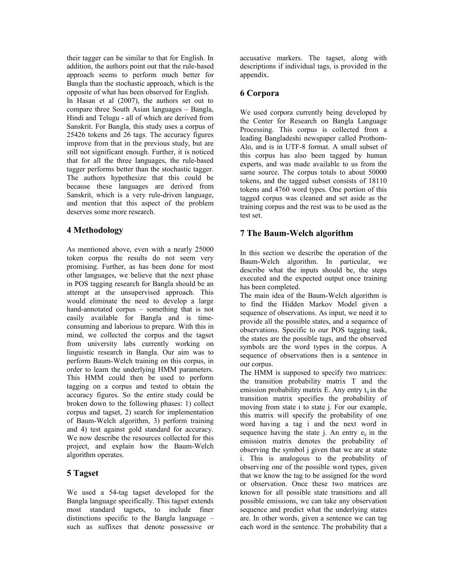their tagger can be similar to that for English. In addition, the authors point out that the rule-based approach seems to perform much better for Bangla than the stochastic approach, which is the opposite of what has been observed for English. In Hasan et al (2007), the authors set out to compare three South Asian languages – Bangla, Hindi and Telugu - all of which are derived from Sanskrit. For Bangla, this study uses a corpus of 25426 tokens and 26 tags. The accuracy figures improve from that in the previous study, but are still not significant enough. Further, it is noticed that for all the three languages, the rule-based tagger performs better than the stochastic tagger. The authors hypothesize that this could be because these languages are derived from Sanskrit, which is a very rule-driven language, and mention that this aspect of the problem deserves some more research.

# **4 Methodology**

As mentioned above, even with a nearly 25000 token corpus the results do not seem very promising. Further, as has been done for most other languages, we believe that the next phase in POS tagging research for Bangla should be an attempt at the unsupervised approach. This would eliminate the need to develop a large hand-annotated corpus – something that is not easily available for Bangla and is timeconsuming and laborious to prepare. With this in mind, we collected the corpus and the tagset from university labs currently working on linguistic research in Bangla. Our aim was to perform Baum-Welch training on this corpus, in order to learn the underlying HMM parameters. This HMM could then be used to perform tagging on a corpus and tested to obtain the accuracy figures. So the entire study could be broken down to the following phases: 1) collect corpus and tagset, 2) search for implementation of Baum-Welch algorithm, 3) perform training and 4) test against gold standard for accuracy. We now describe the resources collected for this project, and explain how the Baum-Welch algorithm operates.

# **5 Tagset**

We used a 54-tag tagset developed for the Bangla language specifically. This tagset extends most standard tagsets, to include finer distinctions specific to the Bangla language – such as suffixes that denote possessive or

accusative markers. The tagset, along with descriptions if individual tags, is provided in the appendix.

# **6 Corpora**

We used corpora currently being developed by the Center for Research on Bangla Language Processing. This corpus is collected from a leading Bangladeshi newspaper called Prothom-Alo, and is in UTF-8 format. A small subset of this corpus has also been tagged by human experts, and was made available to us from the same source. The corpus totals to about 50000 tokens, and the tagged subset consists of 18110 tokens and 4760 word types. One portion of this tagged corpus was cleaned and set aside as the training corpus and the rest was to be used as the test set.

# **7 The Baum-Welch algorithm**

In this section we describe the operation of the Baum-Welch algorithm. In particular, we describe what the inputs should be, the steps executed and the expected output once training has been completed.

The main idea of the Baum-Welch algorithm is to find the Hidden Markov Model given a sequence of observations. As input, we need it to provide all the possible states, and a sequence of observations. Specific to our POS tagging task, the states are the possible tags, and the observed symbols are the word types in the corpus. A sequence of observations then is a sentence in our corpus.

The HMM is supposed to specify two matrices: the transition probability matrix T and the emission probability matrix E. Any entry  $t_{ii}$  in the transition matrix specifies the probability of moving from state i to state j. For our example, this matrix will specify the probability of one word having a tag i and the next word in sequence having the state j. An entry  $e_{ii}$  in the emission matrix denotes the probability of observing the symbol j given that we are at state i. This is analogous to the probability of observing one of the possible word types, given that we know the tag to be assigned for the word or observation. Once these two matrices are known for all possible state transitions and all possible emissions, we can take any observation sequence and predict what the underlying states are. In other words, given a sentence we can tag each word in the sentence. The probability that a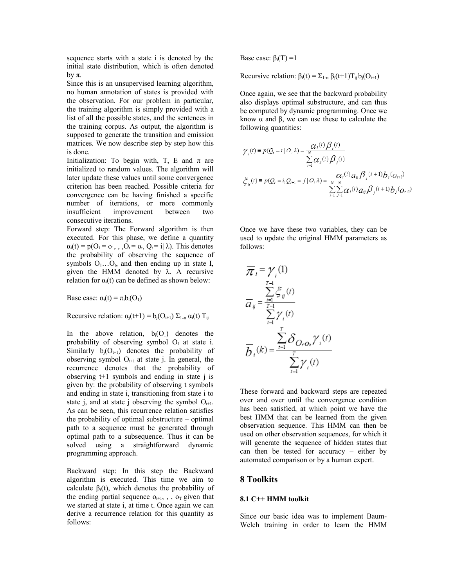sequence starts with a state i is denoted by the initial state distribution, which is often denoted by π.

Since this is an unsupervised learning algorithm, no human annotation of states is provided with the observation. For our problem in particular, the training algorithm is simply provided with a list of all the possible states, and the sentences in the training corpus. As output, the algorithm is supposed to generate the transition and emission matrices. We now describe step by step how this is done.

Initialization: To begin with, T, E and  $\pi$  are initialized to random values. The algorithm will later update these values until some convergence criterion has been reached. Possible criteria for convergence can be having finished a specific number of iterations, or more commonly insufficient improvement between two consecutive iterations.

Forward step: The Forward algorithm is then executed. For this phase, we define a quantity  $\alpha_i(t) = p(O_1 = o_1, \ldots, O_t = o_t, Q_t = i | \lambda)$ . This denotes the probability of observing the sequence of symbols  $O_1 \dots O_t$ , and then ending up in state I, given the HMM denoted by  $\lambda$ . A recursive relation for  $\alpha_i(t)$  can be defined as shown below:

Base case:  $\alpha_i(t) = \pi_i b_i(O_1)$ 

Recursive relation:  $\alpha_i(t+1) = b_i(O_{t+1}) \Sigma_{1-n} \alpha_i(t) T_{ii}$ 

In the above relation,  $b_i(O_1)$  denotes the probability of observing symbol  $O<sub>1</sub>$  at state i. Similarly  $b_i(O_{t+1})$  denotes the probability of observing symbol  $O_{t+1}$  at state j. In general, the recurrence denotes that the probability of observing t+1 symbols and ending in state j is given by: the probability of observing t symbols and ending in state i, transitioning from state i to state j, and at state j observing the symbol  $O_{t+1}$ . As can be seen, this recurrence relation satisfies the probability of optimal substructure – optimal path to a sequence must be generated through optimal path to a subsequence. Thus it can be solved using a straightforward dynamic programming approach.

Backward step: In this step the Backward algorithm is executed. This time we aim to calculate  $\beta_i(t)$ , which denotes the probability of the ending partial sequence  $o_{t+1}$ , , o<sub>T</sub> given that we started at state i, at time t. Once again we can derive a recurrence relation for this quantity as follows:

Base case:  $\beta_i(T) = 1$ 

Recursive relation:  $\beta_i(t) = \sum_{1-n} \beta_i(t+1) T_{ij} b_i(O_{t+1})$ 

Once again, we see that the backward probability also displays optimal substructure, and can thus be computed by dynamic programming. Once we know  $\alpha$  and  $\beta$ , we can use these to calculate the following quantities:

$$
\gamma_{i}(t) \equiv p(Q_{t} = i | O, \lambda) = \frac{\alpha_{i}(t) \beta_{i}(t)}{\sum_{j=1}^{N} \alpha_{j}(t) \beta_{j}(t)}
$$
\n
$$
\xi_{ij}(t) \equiv p(Q_{t} = i, Q_{t+1} = j | O, \lambda) = \frac{\alpha_{i}(t) \alpha_{ij} \beta_{j}(t+1) b_{j}(O_{t+1})}{\sum_{i=1}^{N} \sum_{j=1}^{N} \alpha_{i}(t) \alpha_{ij} \beta_{j}(t+1) b_{j}(O_{t+1})}
$$

 $\lambda$   $\lambda$ 

Once we have these two variables, they can be used to update the original HMM parameters as follows:

$$
\overline{\mathcal{R}}_i = \gamma_i(1)
$$
\n
$$
\overline{\alpha}_{ij} = \frac{\sum_{t=1}^{T-1} \xi_{ij}(t)}{\sum_{t=1}^{T-1} \gamma_i(t)}
$$
\n
$$
\overline{b}_i(k) = \frac{\sum_{t=1}^{T} \delta_{O_i O_k} \gamma_i(t)}{\sum_{t=1}^{T} \gamma_i(t)}
$$

These forward and backward steps are repeated over and over until the convergence condition has been satisfied, at which point we have the best HMM that can be learned from the given observation sequence. This HMM can then be used on other observation sequences, for which it will generate the sequence of hidden states that can then be tested for accuracy – either by automated comparison or by a human expert.

#### **8 Toolkits**

#### **8.1 C++ HMM toolkit**

Since our basic idea was to implement Baum-Welch training in order to learn the HMM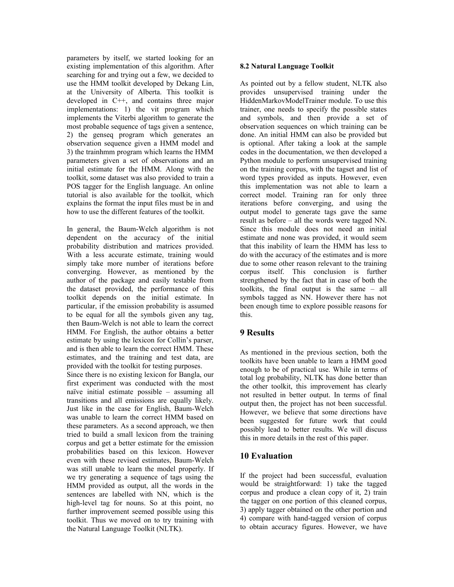parameters by itself, we started looking for an existing implementation of this algorithm. After searching for and trying out a few, we decided to use the HMM toolkit developed by Dekang Lin, at the University of Alberta. This toolkit is developed in C++, and contains three major implementations: 1) the vit program which implements the Viterbi algorithm to generate the most probable sequence of tags given a sentence, 2) the genseq program which generates an observation sequence given a HMM model and 3) the trainhmm program which learns the HMM parameters given a set of observations and an initial estimate for the HMM. Along with the toolkit, some dataset was also provided to train a POS tagger for the English language. An online tutorial is also available for the toolkit, which explains the format the input files must be in and how to use the different features of the toolkit.

In general, the Baum-Welch algorithm is not dependent on the accuracy of the initial probability distribution and matrices provided. With a less accurate estimate, training would simply take more number of iterations before converging. However, as mentioned by the author of the package and easily testable from the dataset provided, the performance of this toolkit depends on the initial estimate. In particular, if the emission probability is assumed to be equal for all the symbols given any tag, then Baum-Welch is not able to learn the correct HMM. For English, the author obtains a better estimate by using the lexicon for Collin's parser, and is then able to learn the correct HMM. These estimates, and the training and test data, are provided with the toolkit for testing purposes.

Since there is no existing lexicon for Bangla, our first experiment was conducted with the most naïve initial estimate possible – assuming all transitions and all emissions are equally likely. Just like in the case for English, Baum-Welch was unable to learn the correct HMM based on these parameters. As a second approach, we then tried to build a small lexicon from the training corpus and get a better estimate for the emission probabilities based on this lexicon. However even with these revised estimates, Baum-Welch was still unable to learn the model properly. If we try generating a sequence of tags using the HMM provided as output, all the words in the sentences are labelled with NN, which is the high-level tag for nouns. So at this point, no further improvement seemed possible using this toolkit. Thus we moved on to try training with the Natural Language Toolkit (NLTK).

#### **8.2 Natural Language Toolkit**

As pointed out by a fellow student, NLTK also provides unsupervised training under the HiddenMarkovModelTrainer module. To use this trainer, one needs to specify the possible states and symbols, and then provide a set of observation sequences on which training can be done. An initial HMM can also be provided but is optional. After taking a look at the sample codes in the documentation, we then developed a Python module to perform unsupervised training on the training corpus, with the tagset and list of word types provided as inputs. However, even this implementation was not able to learn a correct model. Training ran for only three iterations before converging, and using the output model to generate tags gave the same result as before – all the words were tagged NN. Since this module does not need an initial estimate and none was provided, it would seem that this inability of learn the HMM has less to do with the accuracy of the estimates and is more due to some other reason relevant to the training corpus itself. This conclusion is further strengthened by the fact that in case of both the toolkits, the final output is the same – all symbols tagged as NN. However there has not been enough time to explore possible reasons for this.

### **9 Results**

As mentioned in the previous section, both the toolkits have been unable to learn a HMM good enough to be of practical use. While in terms of total log probability, NLTK has done better than the other toolkit, this improvement has clearly not resulted in better output. In terms of final output then, the project has not been successful. However, we believe that some directions have been suggested for future work that could possibly lead to better results. We will discuss this in more details in the rest of this paper.

### **10 Evaluation**

If the project had been successful, evaluation would be straightforward: 1) take the tagged corpus and produce a clean copy of it, 2) train the tagger on one portion of this cleaned corpus, 3) apply tagger obtained on the other portion and 4) compare with hand-tagged version of corpus to obtain accuracy figures. However, we have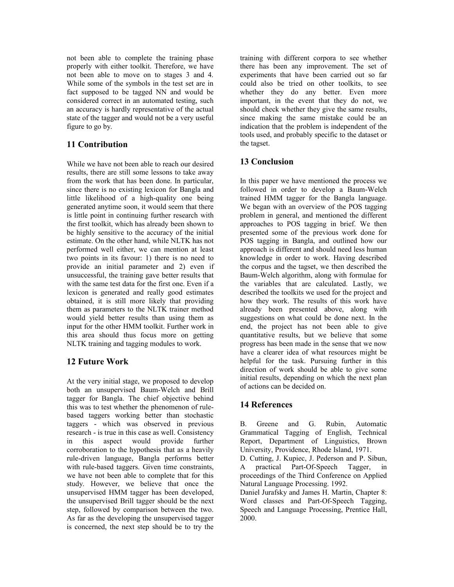not been able to complete the training phase properly with either toolkit. Therefore, we have not been able to move on to stages 3 and 4. While some of the symbols in the test set are in fact supposed to be tagged NN and would be considered correct in an automated testing, such an accuracy is hardly representative of the actual state of the tagger and would not be a very useful figure to go by.

# **11 Contribution**

While we have not been able to reach our desired results, there are still some lessons to take away from the work that has been done. In particular, since there is no existing lexicon for Bangla and little likelihood of a high-quality one being generated anytime soon, it would seem that there is little point in continuing further research with the first toolkit, which has already been shown to be highly sensitive to the accuracy of the initial estimate. On the other hand, while NLTK has not performed well either, we can mention at least two points in its favour: 1) there is no need to provide an initial parameter and 2) even if unsuccessful, the training gave better results that with the same test data for the first one. Even if a lexicon is generated and really good estimates obtained, it is still more likely that providing them as parameters to the NLTK trainer method would yield better results than using them as input for the other HMM toolkit. Further work in this area should thus focus more on getting NLTK training and tagging modules to work.

# **12 Future Work**

At the very initial stage, we proposed to develop both an unsupervised Baum-Welch and Brill tagger for Bangla. The chief objective behind this was to test whether the phenomenon of rulebased taggers working better than stochastic taggers - which was observed in previous research - is true in this case as well. Consistency in this aspect would provide further corroboration to the hypothesis that as a heavily rule-driven language, Bangla performs better with rule-based taggers. Given time constraints, we have not been able to complete that for this study. However, we believe that once the unsupervised HMM tagger has been developed, the unsupervised Brill tagger should be the next step, followed by comparison between the two. As far as the developing the unsupervised tagger is concerned, the next step should be to try the

training with different corpora to see whether there has been any improvement. The set of experiments that have been carried out so far could also be tried on other toolkits, to see whether they do any better. Even more important, in the event that they do not, we should check whether they give the same results, since making the same mistake could be an indication that the problem is independent of the tools used, and probably specific to the dataset or the tagset.

# **13 Conclusion**

In this paper we have mentioned the process we followed in order to develop a Baum-Welch trained HMM tagger for the Bangla language. We began with an overview of the POS tagging problem in general, and mentioned the different approaches to POS tagging in brief. We then presented some of the previous work done for POS tagging in Bangla, and outlined how our approach is different and should need less human knowledge in order to work. Having described the corpus and the tagset, we then described the Baum-Welch algorithm, along with formulae for the variables that are calculated. Lastly, we described the toolkits we used for the project and how they work. The results of this work have already been presented above, along with suggestions on what could be done next. In the end, the project has not been able to give quantitative results, but we believe that some progress has been made in the sense that we now have a clearer idea of what resources might be helpful for the task. Pursuing further in this direction of work should be able to give some initial results, depending on which the next plan of actions can be decided on.

# **14 References**

B. Greene and G. Rubin, Automatic Grammatical Tagging of English, Technical Report, Department of Linguistics, Brown University, Providence, Rhode Island, 1971.

D. Cutting, J. Kupiec, J. Pederson and P. Sibun, A practical Part-Of-Speech Tagger, in proceedings of the Third Conference on Applied Natural Language Processing. 1992.

Daniel Jurafsky and James H. Martin, Chapter 8: Word classes and Part-Of-Speech Tagging, Speech and Language Processing, Prentice Hall, 2000.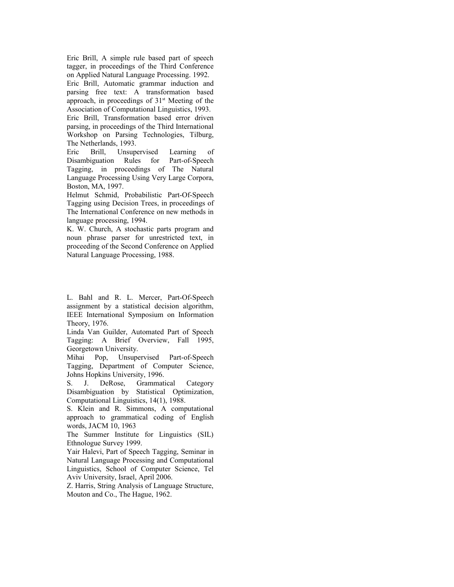Eric Brill, A simple rule based part of speech tagger, in proceedings of the Third Conference on Applied Natural Language Processing. 1992.

Eric Brill, Automatic grammar induction and parsing free text: A transformation based approach, in proceedings of  $31<sup>st</sup>$  Meeting of the Association of Computational Linguistics, 1993.

Eric Brill, Transformation based error driven parsing, in proceedings of the Third International Workshop on Parsing Technologies, Tilburg, The Netherlands, 1993.

Eric Brill, Unsupervised Learning of Disambiguation Rules for Part-of-Speech Tagging, in proceedings of The Natural Language Processing Using Very Large Corpora, Boston, MA, 1997.

Helmut Schmid, Probabilistic Part-Of-Speech Tagging using Decision Trees, in proceedings of The International Conference on new methods in language processing, 1994.

K. W. Church, A stochastic parts program and noun phrase parser for unrestricted text, in proceeding of the Second Conference on Applied Natural Language Processing, 1988.

L. Bahl and R. L. Mercer, Part-Of-Speech assignment by a statistical decision algorithm, IEEE International Symposium on Information Theory, 1976.

Linda Van Guilder, Automated Part of Speech Tagging: A Brief Overview, Fall 1995, Georgetown University.

Mihai Pop, Unsupervised Part-of-Speech Tagging, Department of Computer Science, Johns Hopkins University, 1996.

S. J. DeRose, Grammatical Category Disambiguation by Statistical Optimization, Computational Linguistics, 14(1), 1988.

S. Klein and R. Simmons, A computational approach to grammatical coding of English words, JACM 10, 1963

The Summer Institute for Linguistics (SIL) Ethnologue Survey 1999.

Yair Halevi, Part of Speech Tagging, Seminar in Natural Language Processing and Computational Linguistics, School of Computer Science, Tel Aviv University, Israel, April 2006.

Z. Harris, String Analysis of Language Structure, Mouton and Co., The Hague, 1962.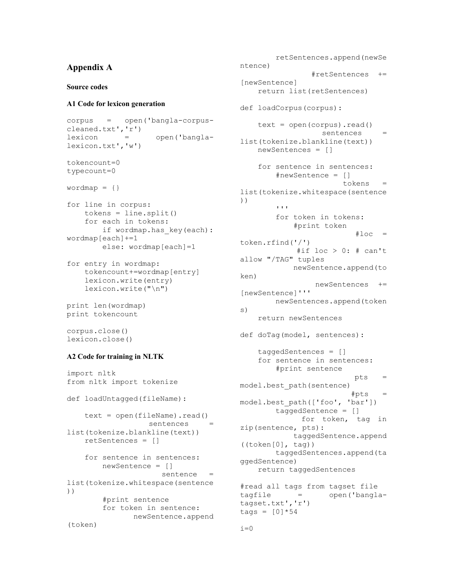# **Appendix A**

#### **Source codes**

#### **A1 Code for lexicon generation**

```
corpus = open('bangla-corpus-
cleaned.txt','r')
lexicon = open('bangla-
lexicon.txt','w')
tokencount=0
typecount=0
wordmap = \{\}for line in corpus:
   tokens = line.split() for each in tokens:
       if wordmap.has key(each):
wordmap[each]+=1
        else: wordmap[each]=1
```

```
for entry in wordmap:
     tokencount+=wordmap[entry]
     lexicon.write(entry)
     lexicon.write("\n")
```

```
print len(wordmap)
print tokencount
```

```
corpus.close()
lexicon.close()
```
#### **A2 Code for training in NLTK**

```
import nltk
from nltk import tokenize
def loadUntagged(fileName):
    text = open(fileName) .read()sentences =
list(tokenize.blankline(text))
     retSentences = []
     for sentence in sentences:
         newSentence = []
                     sentence =
list(tokenize.whitespace(sentence
))
         #print sentence
         for token in sentence:
               newSentence.append
(token)
```

```
 retSentences.append(newSe
ntence)
                  #retSentences +=
[newSentence]
     return list(retSentences)
def loadCorpus(corpus):
    text = open(corpus).read()sentences =
list(tokenize.blankline(text))
     newSentences = []
     for sentence in sentences:
         #newSentence = []
                         tokens =
list(tokenize.whitespace(sentence
))
        \mathbf{r} \mathbf{r} \mathbf{r} for token in tokens:
             #print token
                           #loc =token.rfind('/')
             #if loc > 0: # can't
allow "/TAG" tuples
            newSentence.append(to
ken)
                  newSentences +=
[newSentence]'''
        newSentences.append(token
s)
     return newSentences
def doTag(model, sentences):
     taggedSentences = []
     for sentence in sentences:
         #print sentence
                            pts =
model.best_path(sentence)
                          #pts =model.best_path(['foo', 'bar'])
         taggedSentence = []
               for token, tag in
zip(sentence, pts):
            taggedSentence.append
((\text{token}[0], \text{tag})) taggedSentences.append(ta
ggedSentence)
   return taggedSentences
#read all tags from tagset file
tagfile = open('bangla-
tagset.txt','r')
\text{tags} = [0] * 54
```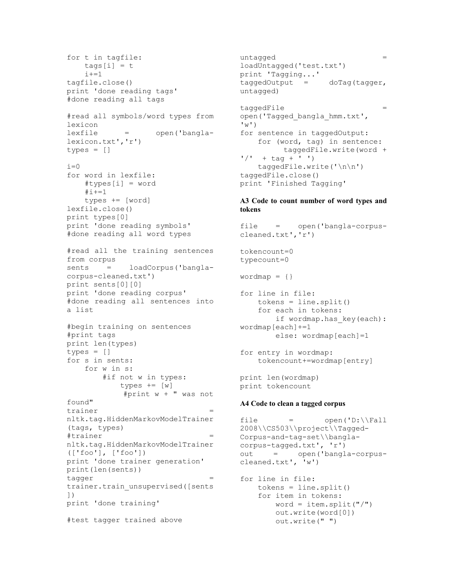```
for t in tagfile:
   \text{tags}[i] = ti+=1tagfile.close()
print 'done reading tags'
#done reading all tags
#read all symbols/word types from
lexicon
lexfile = open('bangla-
lexicon.txt','r')
types = []
i=0for word in lexfile:
    #types[i] = word
   #i+=1 types += [word]
lexfile.close()
print types[0]
print 'done reading symbols'
#done reading all word types
#read all the training sentences
from corpus
sents = loadCorpus('bangla-
corpus-cleaned.txt')
print sents[0][0]
print 'done reading corpus'
#done reading all sentences into
a list
#begin training on sentences
#print tags
print len(types)
types = []for s in sents:
    for w in s:
       #if not w in types:
          types += [w]
           #print w + " was not
found"
trainer
nltk.tag.HiddenMarkovModelTrainer
(tags, types)
#trainer =
nltk.tag.HiddenMarkovModelTrainer
(['foo'], ['foo'])
print 'done trainer generation'
print(len(sents))
tagger = =trainer.train_unsupervised([sents
])
print 'done training'
#test tagger trained above
```
untagged  $=$ loadUntagged('test.txt') print 'Tagging...' taggedOutput = doTag(tagger, untagged) taggedFile = open('Tagged\_bangla\_hmm.txt',  $'w'$ for sentence in taggedOutput: for (word, tag) in sentence: taggedFile.write(word +  $'$ /' + tag + ' ') taggedFile.write('\n\n') taggedFile.close() print 'Finished Tagging'

#### **A3 Code to count number of word types and tokens**

file = open('bangla-corpuscleaned.txt','r') tokencount=0 typecount=0  $wordmap = \{\}$ for line in file: tokens = line.split() for each in tokens: if wordmap.has key(each): wordmap[each]+=1 else: wordmap[each]=1 for entry in wordmap: tokencount+=wordmap[entry] print len(wordmap) print tokencount

#### **A4 Code to clean a tagged corpus**

file  $=$  open('D:\\Fall 2008\\CS503\\project\\Tagged-Corpus-and-tag-set\\banglacorpus-tagged.txt', 'r') out = open('bangla-corpuscleaned.txt', 'w')

for line in file: tokens = line.split() for item in tokens: word = item.split("/") out.write(word[0]) out.write(" ")